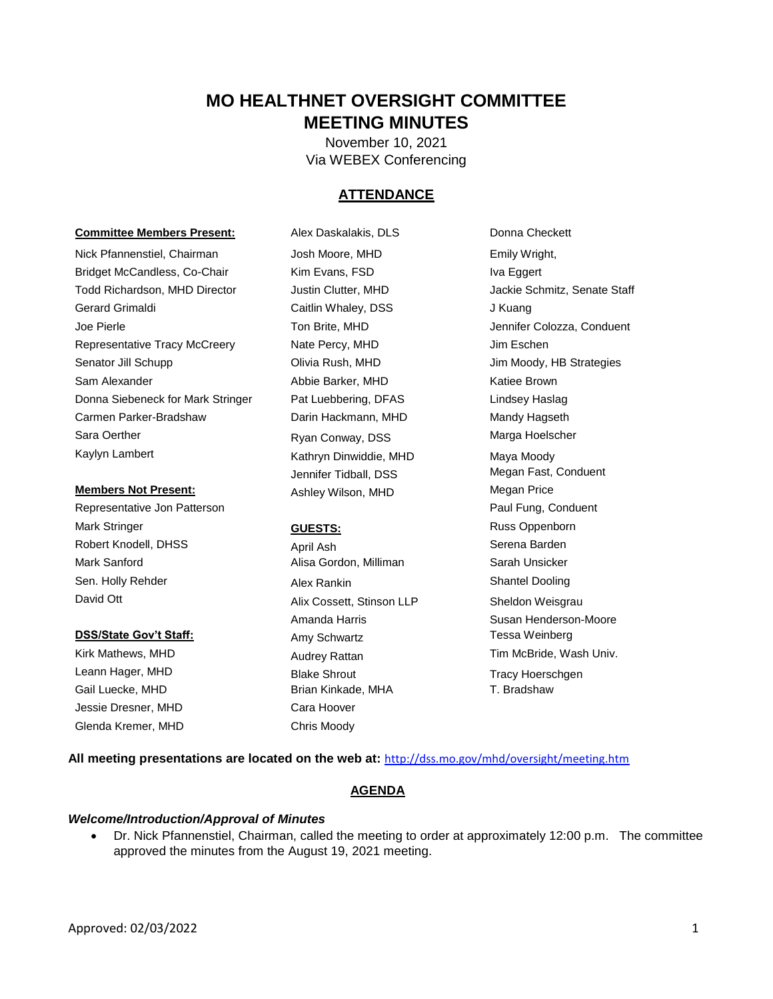## **MO HEALTHNET OVERSIGHT COMMITTEE MEETING MINUTES**

November 10, 2021 Via WEBEX Conferencing

## **ATTENDANCE**

#### **Committee Members Present:** Alex Daskalakis, DLS Donna Checkett

Nick Pfannenstiel, Chairman Josh Moore, MHD Emily Wright, Bridget McCandless, Co-Chair Kim Evans, FSD Iva Eggert Todd Richardson, MHD Director Justin Clutter, MHD Jackie Schmitz, Senate Staff Gerard Grimaldi Caitlin Whaley, DSS J Kuang Joe Pierle **The Colon Brite, MHD** Jennifer Colozza, Conduent Representative Tracy McCreery **Nate Percy, MHD** Jim Eschen Senator Jill Schupp **Olivia Rush, MHD** Jim Moody, HB Strategies Sam Alexander **Abbie Barker, MHD** Katiee Brown Donna Siebeneck for Mark Stringer Pat Luebbering, DFAS Lindsey Haslag Carmen Parker-Bradshaw Darin Hackmann, MHD Mandy Hagseth Sara Oerther **Narga Hoelscher** Ryan Conway, DSS Marga Hoelscher Kaylyn Lambert **Kathryn Dinwiddie, MHD** Maya Moody

Representative Jon Patterson **Patters** Paul Fung, Conduent Mark Stringer **CUESTS: GUESTS: Russ Oppenborn** Robert Knodell, DHSS **April Ash** April Ash Serena Barden Mark Sanford **Alisa Gordon, Milliman** Sarah Unsicker Sen. Holly Rehder **Alex Rankin** Shantel Dooling Shantel Dooling

Jessie Dresner, MHD Cara Hoover Glenda Kremer, MHD Chris Moody

Jennifer Tidball, DSS Megan Fast, Conduent **Members Not Present:** Ashley Wilson, MHD Megan Price

David Ott **Alix Cossett, Stinson LLP** Sheldon Weisgrau **DSS/State Gov't Staff:** Amy Schwartz Tessa Weinberg **COSS/State Gov't Staff:** Leann Hager, MHD Blake Shrout Tracy Hoerschgen Gail Luecke, MHD **Brian Kinkade, MHA** T. Bradshaw

Amanda Harris **National Susan Henderson-Moore** Kirk Mathews, MHD **Audrey Rattan** Audrey Rattan Tim McBride, Wash Univ.

**All meeting presentations are located on the web at:** <http://dss.mo.gov/mhd/oversight/meeting.htm>

## **AGENDA**

#### *Welcome/Introduction/Approval of Minutes*

 Dr. Nick Pfannenstiel, Chairman, called the meeting to order at approximately 12:00 p.m. The committee approved the minutes from the August 19, 2021 meeting.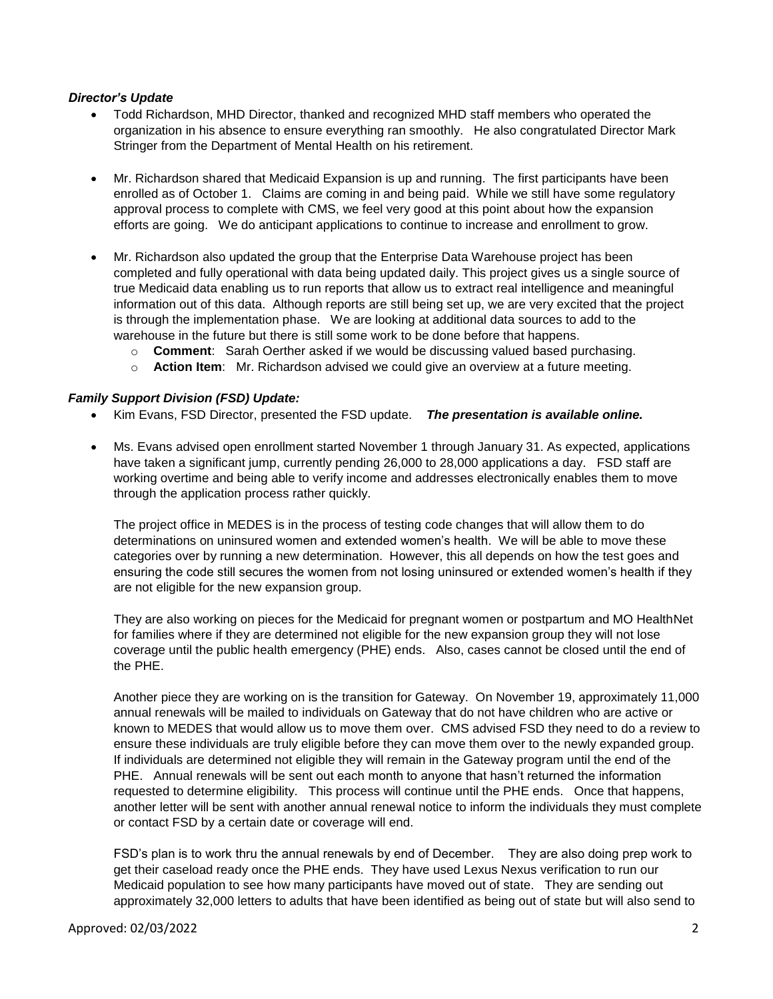#### *Director's Update*

- Todd Richardson, MHD Director, thanked and recognized MHD staff members who operated the organization in his absence to ensure everything ran smoothly. He also congratulated Director Mark Stringer from the Department of Mental Health on his retirement.
- Mr. Richardson shared that Medicaid Expansion is up and running. The first participants have been enrolled as of October 1. Claims are coming in and being paid. While we still have some regulatory efforts are going. We do anticipant applications to continue to increase and enrollment to grow. approval process to complete with CMS, we feel very good at this point about how the expansion
- completed and fully operational with data being updated daily. This project gives us a single source of true Medicaid data enabling us to run reports that allow us to extract real intelligence and meaningful information out of this data. Although reports are still being set up, we are very excited that the project is through the implementation phase. We are looking at additional data sources to add to the Mr. Richardson also updated the group that the Enterprise Data Warehouse project has been warehouse in the future but there is still some work to be done before that happens.
	- o **Comment**: Sarah Oerther asked if we would be discussing valued based purchasing.
	- o **Action Item**: Mr. Richardson advised we could give an overview at a future meeting.

#### *Family Support Division (FSD) Update:*

- Kim Evans, FSD Director, presented the FSD update. *The presentation is available online.*
- Ms. Evans advised open enrollment started November 1 through January 31. As expected, applications have taken a significant jump, currently pending 26,000 to 28,000 applications a day. FSD staff are working overtime and being able to verify income and addresses electronically enables them to move through the application process rather quickly.

The project office in MEDES is in the process of testing code changes that will allow them to do determinations on uninsured women and extended women's health. We will be able to move these categories over by running a new determination. However, this all depends on how the test goes and ensuring the code still secures the women from not losing uninsured or extended women's health if they are not eligible for the new expansion group.

 coverage until the public health emergency (PHE) ends. Also, cases cannot be closed until the end of They are also working on pieces for the Medicaid for pregnant women or postpartum and MO HealthNet for families where if they are determined not eligible for the new expansion group they will not lose the PHE.

 ensure these individuals are truly eligible before they can move them over to the newly expanded group. requested to determine eligibility. This process will continue until the PHE ends. Once that happens, or contact FSD by a certain date or coverage will end. Another piece they are working on is the transition for Gateway. On November 19, approximately 11,000 annual renewals will be mailed to individuals on Gateway that do not have children who are active or known to MEDES that would allow us to move them over. CMS advised FSD they need to do a review to If individuals are determined not eligible they will remain in the Gateway program until the end of the PHE. Annual renewals will be sent out each month to anyone that hasn't returned the information another letter will be sent with another annual renewal notice to inform the individuals they must complete

 Medicaid population to see how many participants have moved out of state. They are sending out approximately 32,000 letters to adults that have been identified as being out of state but will also send to FSD's plan is to work thru the annual renewals by end of December. They are also doing prep work to get their caseload ready once the PHE ends. They have used Lexus Nexus verification to run our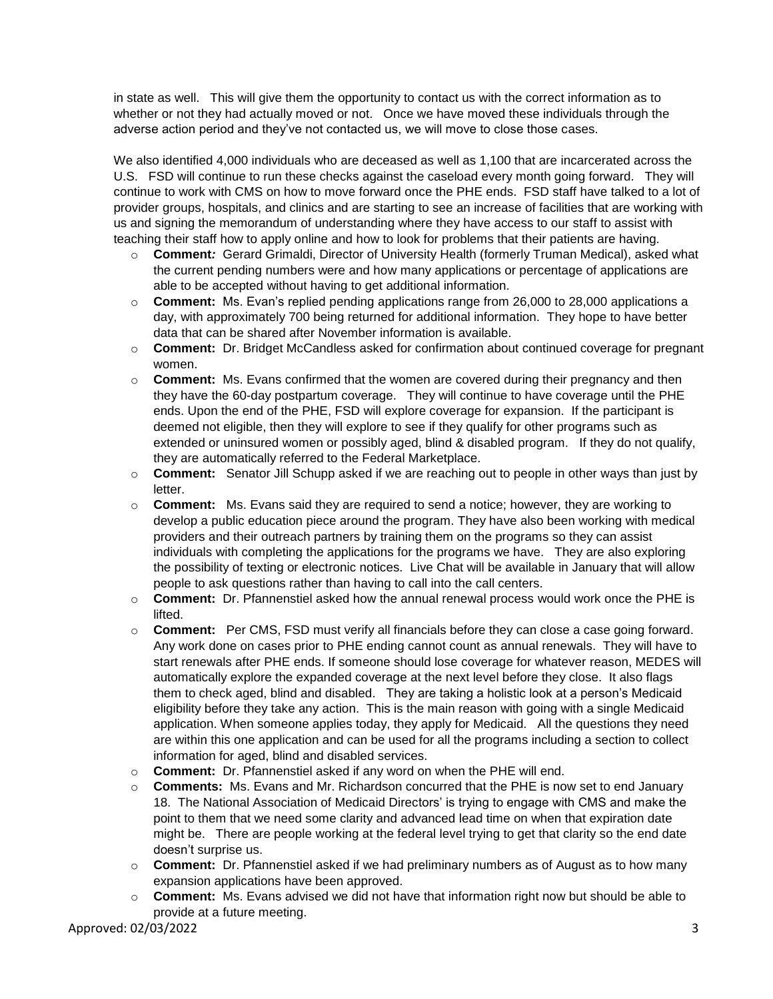in state as well. This will give them the opportunity to contact us with the correct information as to whether or not they had actually moved or not. Once we have moved these individuals through the adverse action period and they've not contacted us, we will move to close those cases.

 We also identified 4,000 individuals who are deceased as well as 1,100 that are incarcerated across the U.S. FSD will continue to run these checks against the caseload every month going forward. They will continue to work with CMS on how to move forward once the PHE ends. FSD staff have talked to a lot of provider groups, hospitals, and clinics and are starting to see an increase of facilities that are working with us and signing the memorandum of understanding where they have access to our staff to assist with teaching their staff how to apply online and how to look for problems that their patients are having.

- o **Comment***:* Gerard Grimaldi, Director of University Health (formerly Truman Medical), asked what able to be accepted without having to get additional information. the current pending numbers were and how many applications or percentage of applications are
- o **Comment:** Ms. Evan's replied pending applications range from 26,000 to 28,000 applications a day, with approximately 700 being returned for additional information. They hope to have better data that can be shared after November information is available.
- o **Comment:** Dr. Bridget McCandless asked for confirmation about continued coverage for pregnant women.
- they have the 60-day postpartum coverage. They will continue to have coverage until the PHE ends. Upon the end of the PHE, FSD will explore coverage for expansion. If the participant is deemed not eligible, then they will explore to see if they qualify for other programs such as extended or uninsured women or possibly aged, blind & disabled program. If they do not qualify, o **Comment:** Ms. Evans confirmed that the women are covered during their pregnancy and then they are automatically referred to the Federal Marketplace.
- o **Comment:** Senator Jill Schupp asked if we are reaching out to people in other ways than just by letter.
- o **Comment:** Ms. Evans said they are required to send a notice; however, they are working to develop a public education piece around the program. They have also been working with medical providers and their outreach partners by training them on the programs so they can assist individuals with completing the applications for the programs we have. They are also exploring the possibility of texting or electronic notices. Live Chat will be available in January that will allow people to ask questions rather than having to call into the call centers.
- o **Comment:** Dr. Pfannenstiel asked how the annual renewal process would work once the PHE is lifted.
- o **Comment:** Per CMS, FSD must verify all financials before they can close a case going forward. Any work done on cases prior to PHE ending cannot count as annual renewals. They will have to start renewals after PHE ends. If someone should lose coverage for whatever reason, MEDES will eligibility before they take any action. This is the main reason with going with a single Medicaid application. When someone applies today, they apply for Medicaid. All the questions they need information for aged, blind and disabled services. automatically explore the expanded coverage at the next level before they close. It also flags them to check aged, blind and disabled. They are taking a holistic look at a person's Medicaid are within this one application and can be used for all the programs including a section to collect
- o **Comment:** Dr. Pfannenstiel asked if any word on when the PHE will end.
- o **Comments:** Ms. Evans and Mr. Richardson concurred that the PHE is now set to end January might be. There are people working at the federal level trying to get that clarity so the end date 18. The National Association of Medicaid Directors' is trying to engage with CMS and make the point to them that we need some clarity and advanced lead time on when that expiration date doesn't surprise us.
- o **Comment:** Dr. Pfannenstiel asked if we had preliminary numbers as of August as to how many expansion applications have been approved.
- o **Comment:** Ms. Evans advised we did not have that information right now but should be able to provide at a future meeting.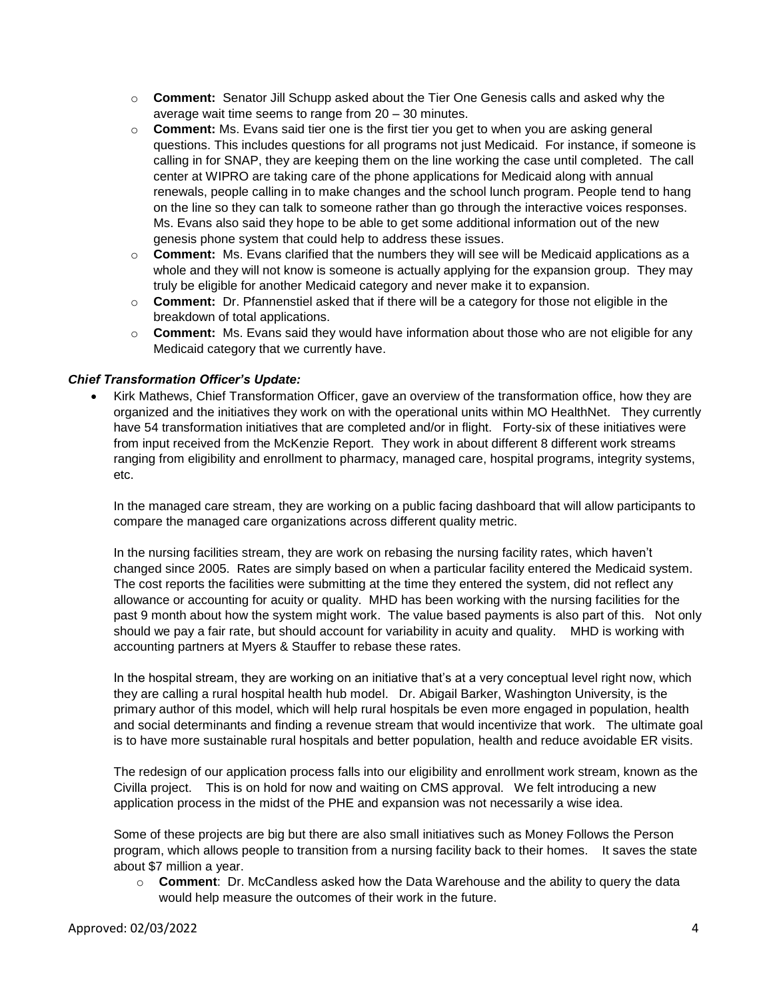- o **Comment:** Senator Jill Schupp asked about the Tier One Genesis calls and asked why the average wait time seems to range from 20 – 30 minutes.
- o **Comment:** Ms. Evans said tier one is the first tier you get to when you are asking general questions. This includes questions for all programs not just Medicaid. For instance, if someone is calling in for SNAP, they are keeping them on the line working the case until completed. The call center at WIPRO are taking care of the phone applications for Medicaid along with annual renewals, people calling in to make changes and the school lunch program. People tend to hang on the line so they can talk to someone rather than go through the interactive voices responses. Ms. Evans also said they hope to be able to get some additional information out of the new genesis phone system that could help to address these issues.
- o **Comment:** Ms. Evans clarified that the numbers they will see will be Medicaid applications as a truly be eligible for another Medicaid category and never make it to expansion. whole and they will not know is someone is actually applying for the expansion group. They may
- o **Comment:** Dr. Pfannenstiel asked that if there will be a category for those not eligible in the breakdown of total applications.
- o **Comment:** Ms. Evans said they would have information about those who are not eligible for any Medicaid category that we currently have.

## *Chief Transformation Officer's Update:*

 organized and the initiatives they work on with the operational units within MO HealthNet. They currently Kirk Mathews, Chief Transformation Officer, gave an overview of the transformation office, how they are have 54 transformation initiatives that are completed and/or in flight. Forty-six of these initiatives were from input received from the McKenzie Report. They work in about different 8 different work streams ranging from eligibility and enrollment to pharmacy, managed care, hospital programs, integrity systems, etc.

In the managed care stream, they are working on a public facing dashboard that will allow participants to compare the managed care organizations across different quality metric.

 In the nursing facilities stream, they are work on rebasing the nursing facility rates, which haven't allowance or accounting for acuity or quality. MHD has been working with the nursing facilities for the changed since 2005. Rates are simply based on when a particular facility entered the Medicaid system. The cost reports the facilities were submitting at the time they entered the system, did not reflect any past 9 month about how the system might work. The value based payments is also part of this. Not only should we pay a fair rate, but should account for variability in acuity and quality. MHD is working with accounting partners at Myers & Stauffer to rebase these rates.

 and social determinants and finding a revenue stream that would incentivize that work. The ultimate goal In the hospital stream, they are working on an initiative that's at a very conceptual level right now, which they are calling a rural hospital health hub model. Dr. Abigail Barker, Washington University, is the primary author of this model, which will help rural hospitals be even more engaged in population, health is to have more sustainable rural hospitals and better population, health and reduce avoidable ER visits.

 Civilla project. This is on hold for now and waiting on CMS approval. We felt introducing a new The redesign of our application process falls into our eligibility and enrollment work stream, known as the application process in the midst of the PHE and expansion was not necessarily a wise idea.

Some of these projects are big but there are also small initiatives such as Money Follows the Person program, which allows people to transition from a nursing facility back to their homes. It saves the state about \$7 million a year.

 o **Comment**: Dr. McCandless asked how the Data Warehouse and the ability to query the data would help measure the outcomes of their work in the future.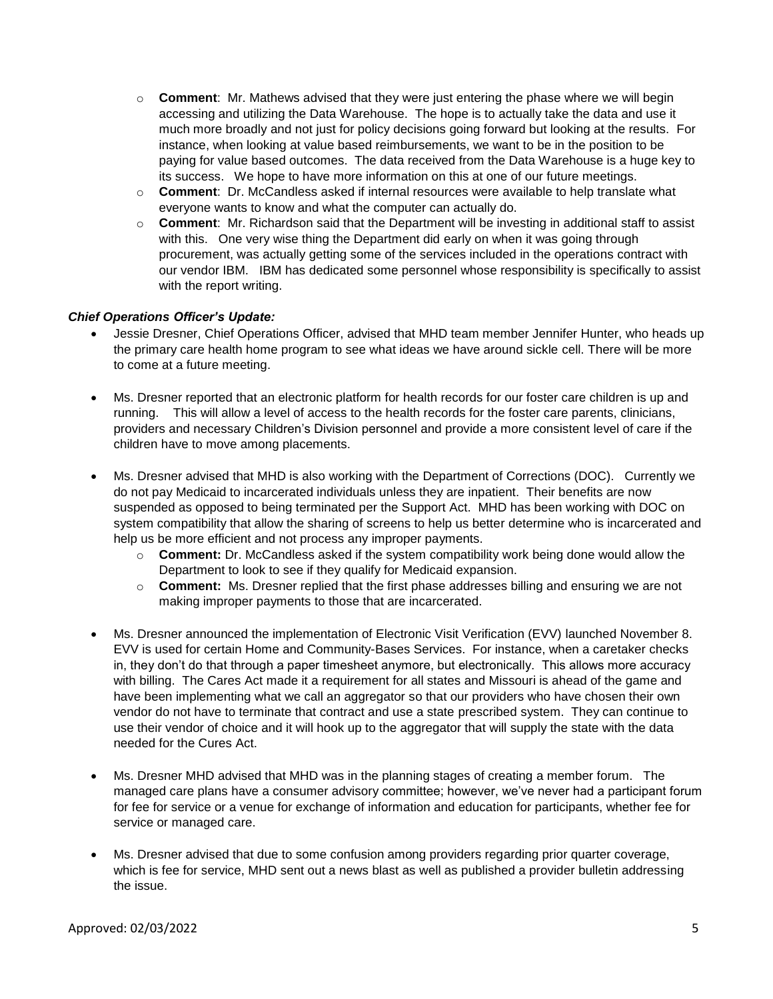- accessing and utilizing the Data Warehouse. The hope is to actually take the data and use it much more broadly and not just for policy decisions going forward but looking at the results. For instance, when looking at value based reimbursements, we want to be in the position to be o **Comment**: Mr. Mathews advised that they were just entering the phase where we will begin paying for value based outcomes. The data received from the Data Warehouse is a huge key to its success. We hope to have more information on this at one of our future meetings.
- o **Comment**: Dr. McCandless asked if internal resources were available to help translate what everyone wants to know and what the computer can actually do.
- o **Comment**: Mr. Richardson said that the Department will be investing in additional staff to assist with this. One very wise thing the Department did early on when it was going through our vendor IBM. IBM has dedicated some personnel whose responsibility is specifically to assist procurement, was actually getting some of the services included in the operations contract with with the report writing.

## *Chief Operations Officer's Update:*

- the primary care health home program to see what ideas we have around sickle cell. There will be more Jessie Dresner, Chief Operations Officer, advised that MHD team member Jennifer Hunter, who heads up to come at a future meeting.
- running. This will allow a level of access to the health records for the foster care parents, clinicians, Ms. Dresner reported that an electronic platform for health records for our foster care children is up and providers and necessary Children's Division personnel and provide a more consistent level of care if the children have to move among placements.
- Ms. Dresner advised that MHD is also working with the Department of Corrections (DOC). Currently we do not pay Medicaid to incarcerated individuals unless they are inpatient. Their benefits are now suspended as opposed to being terminated per the Support Act. MHD has been working with DOC on system compatibility that allow the sharing of screens to help us better determine who is incarcerated and help us be more efficient and not process any improper payments.
	- o **Comment:** Dr. McCandless asked if the system compatibility work being done would allow the Department to look to see if they qualify for Medicaid expansion.
	- o **Comment:** Ms. Dresner replied that the first phase addresses billing and ensuring we are not making improper payments to those that are incarcerated.
- have been implementing what we call an aggregator so that our providers who have chosen their own vendor do not have to terminate that contract and use a state prescribed system. They can continue to needed for the Cures Act. Ms. Dresner announced the implementation of Electronic Visit Verification (EVV) launched November 8. EVV is used for certain Home and Community-Bases Services. For instance, when a caretaker checks in, they don't do that through a paper timesheet anymore, but electronically. This allows more accuracy with billing. The Cares Act made it a requirement for all states and Missouri is ahead of the game and use their vendor of choice and it will hook up to the aggregator that will supply the state with the data
- Ms. Dresner MHD advised that MHD was in the planning stages of creating a member forum. The managed care plans have a consumer advisory committee; however, we've never had a participant forum for fee for service or a venue for exchange of information and education for participants, whether fee for service or managed care.
- which is fee for service, MHD sent out a news blast as well as published a provider bulletin addressing Ms. Dresner advised that due to some confusion among providers regarding prior quarter coverage, the issue.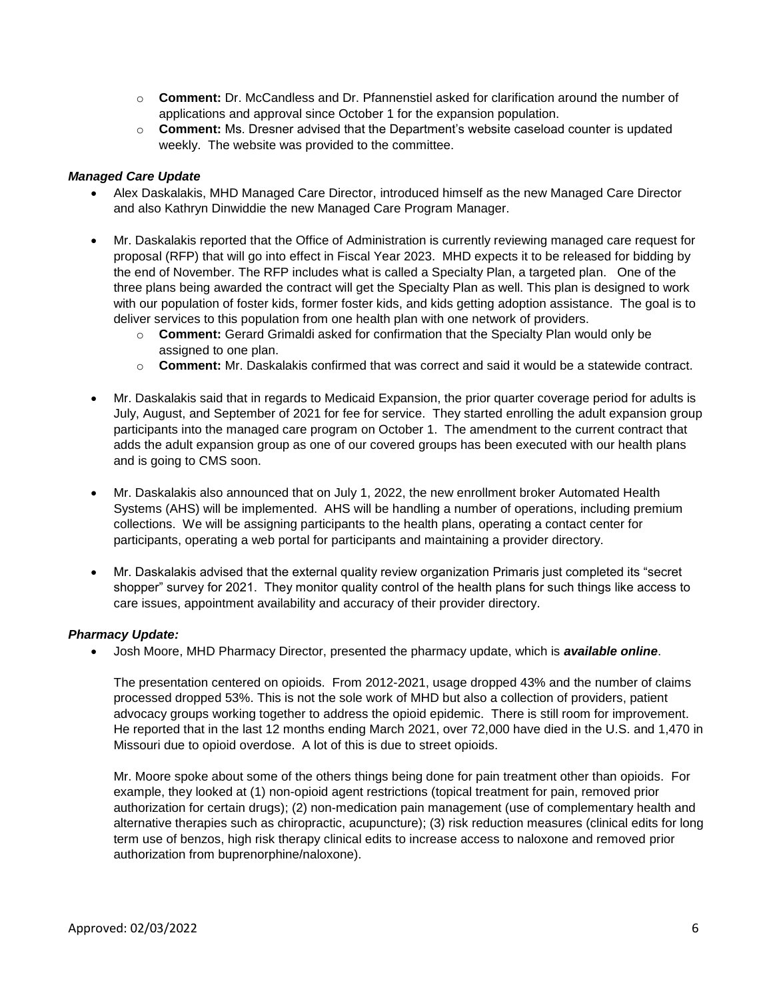- o **Comment:** Dr. McCandless and Dr. Pfannenstiel asked for clarification around the number of applications and approval since October 1 for the expansion population.
- o **Comment:** Ms. Dresner advised that the Department's website caseload counter is updated weekly. The website was provided to the committee.

#### *Managed Care Update*

- Alex Daskalakis, MHD Managed Care Director, introduced himself as the new Managed Care Director and also Kathryn Dinwiddie the new Managed Care Program Manager.
- proposal (RFP) that will go into effect in Fiscal Year 2023. MHD expects it to be released for bidding by three plans being awarded the contract will get the Specialty Plan as well. This plan is designed to work Mr. Daskalakis reported that the Office of Administration is currently reviewing managed care request for the end of November. The RFP includes what is called a Specialty Plan, a targeted plan. One of the with our population of foster kids, former foster kids, and kids getting adoption assistance. The goal is to deliver services to this population from one health plan with one network of providers.
	- o **Comment:** Gerard Grimaldi asked for confirmation that the Specialty Plan would only be assigned to one plan.
	- o **Comment:** Mr. Daskalakis confirmed that was correct and said it would be a statewide contract.
- July, August, and September of 2021 for fee for service. They started enrolling the adult expansion group Mr. Daskalakis said that in regards to Medicaid Expansion, the prior quarter coverage period for adults is participants into the managed care program on October 1. The amendment to the current contract that adds the adult expansion group as one of our covered groups has been executed with our health plans and is going to CMS soon.
- Systems (AHS) will be implemented. AHS will be handling a number of operations, including premium collections. We will be assigning participants to the health plans, operating a contact center for participants, operating a web portal for participants and maintaining a provider directory. Mr. Daskalakis also announced that on July 1, 2022, the new enrollment broker Automated Health
- Mr. Daskalakis advised that the external quality review organization Primaris just completed its "secret shopper" survey for 2021. They monitor quality control of the health plans for such things like access to care issues, appointment availability and accuracy of their provider directory.

#### *Pharmacy Update:*

Josh Moore, MHD Pharmacy Director, presented the pharmacy update, which is *available online*.

 advocacy groups working together to address the opioid epidemic. There is still room for improvement. Missouri due to opioid overdose. A lot of this is due to street opioids. The presentation centered on opioids. From 2012-2021, usage dropped 43% and the number of claims processed dropped 53%. This is not the sole work of MHD but also a collection of providers, patient He reported that in the last 12 months ending March 2021, over 72,000 have died in the U.S. and 1,470 in

Mr. Moore spoke about some of the others things being done for pain treatment other than opioids. For example, they looked at (1) non-opioid agent restrictions (topical treatment for pain, removed prior authorization for certain drugs); (2) non-medication pain management (use of complementary health and alternative therapies such as chiropractic, acupuncture); (3) risk reduction measures (clinical edits for long term use of benzos, high risk therapy clinical edits to increase access to naloxone and removed prior authorization from buprenorphine/naloxone).